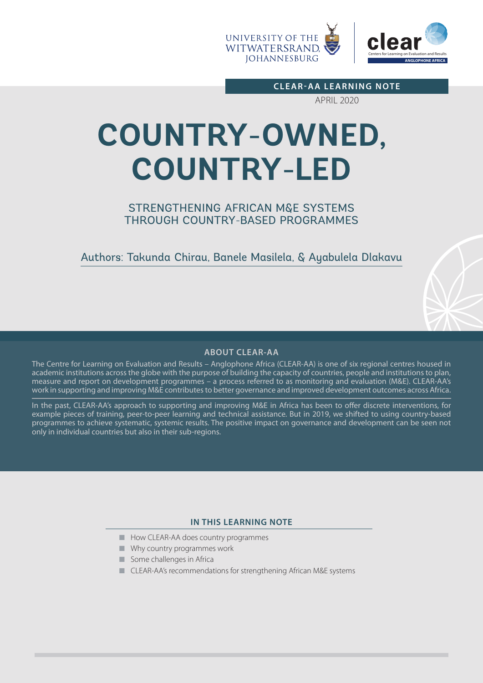

**CLEAR-AA LEARNING NOTE**

APRIL 2020

# **COUNTRY-OWNED, COUNTRY-LED**

# STRENGTHENING AFRICAN M&E SYSTEMS THROUGH COUNTRY-BASED PROGRAMMES

Authors: Takunda Chirau, Banele Masilela, & Ayabulela Dlakavu

# **ABOUT CLEAR-AA**

The Centre for Learning on Evaluation and Results – Anglophone Africa (CLEAR-AA) is one of six regional centres housed in academic institutions across the globe with the purpose of building the capacity of countries, people and institutions to plan, measure and report on development programmes – a process referred to as monitoring and evaluation (M&E). CLEAR-AA's work in supporting and improving M&E contributes to better governance and improved development outcomes across Africa.

In the past, CLEAR-AA's approach to supporting and improving M&E in Africa has been to offer discrete interventions, for example pieces of training, peer-to-peer learning and technical assistance. But in 2019, we shifted to using country-based programmes to achieve systematic, systemic results. The positive impact on governance and development can be seen not only in individual countries but also in their sub-regions.

#### **IN THIS LEARNING NOTE**

- How CLEAR-AA does country programmes
- Why country programmes work
- Some challenges in Africa
- CLEAR-AA's recommendations for strengthening African M&E systems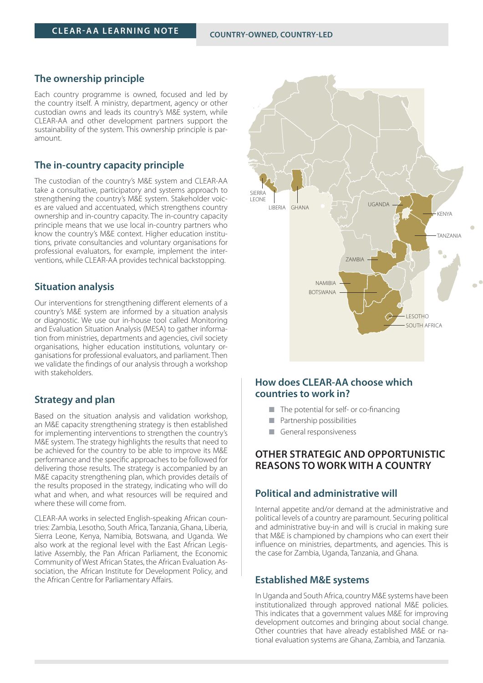## **The ownership principle**

Each country programme is owned, focused and led by the country itself. A ministry, department, agency or other custodian owns and leads its country's M&E system, while CLEAR-AA and other development partners support the sustainability of the system. This ownership principle is paramount.

#### **The in-country capacity principle**

The custodian of the country's M&E system and CLEAR-AA take a consultative, participatory and systems approach to strengthening the country's M&E system. Stakeholder voices are valued and accentuated, which strengthens country ownership and in-country capacity. The in-country capacity principle means that we use local in-country partners who know the country's M&E context. Higher education institutions, private consultancies and voluntary organisations for professional evaluators, for example, implement the interventions, while CLEAR-AA provides technical backstopping.

#### **Situation analysis**

Our interventions for strengthening different elements of a country's M&E system are informed by a situation analysis or diagnostic. We use our in-house tool called Monitoring and Evaluation Situation Analysis (MESA) to gather information from ministries, departments and agencies, civil society organisations, higher education institutions, voluntary organisations for professional evaluators, and parliament. Then we validate the findings of our analysis through a workshop with stakeholders.

#### **Strategy and plan**

Based on the situation analysis and validation workshop, an M&E capacity strengthening strategy is then established for implementing interventions to strengthen the country's M&E system. The strategy highlights the results that need to be achieved for the country to be able to improve its M&E performance and the specific approaches to be followed for delivering those results. The strategy is accompanied by an M&E capacity strengthening plan, which provides details of the results proposed in the strategy, indicating who will do what and when, and what resources will be required and where these will come from.

CLEAR-AA works in selected English-speaking African countries: Zambia, Lesotho, South Africa, Tanzania, Ghana, Liberia, Sierra Leone, Kenya, Namibia, Botswana, and Uganda. We also work at the regional level with the East African Legislative Assembly, the Pan African Parliament, the Economic Community of West African States, the African Evaluation Association, the African Institute for Development Policy, and the African Centre for Parliamentary Affairs.



# **How does CLEAR-AA choose which countries to work in?**

- The potential for self- or co-financing
- Partnership possibilities
- General responsiveness

## **OTHER STRATEGIC AND OPPORTUNISTIC REASONS TO WORK WITH A COUNTRY**

# **Political and administrative will**

Internal appetite and/or demand at the administrative and political levels of a country are paramount. Securing political and administrative buy-in and will is crucial in making sure that M&E is championed by champions who can exert their influence on ministries, departments, and agencies. This is the case for Zambia, Uganda, Tanzania, and Ghana.

#### **Established M&E systems**

In Uganda and South Africa, country M&E systems have been institutionalized through approved national M&E policies. This indicates that a government values M&E for improving development outcomes and bringing about social change. Other countries that have already established M&E or national evaluation systems are Ghana, Zambia, and Tanzania.